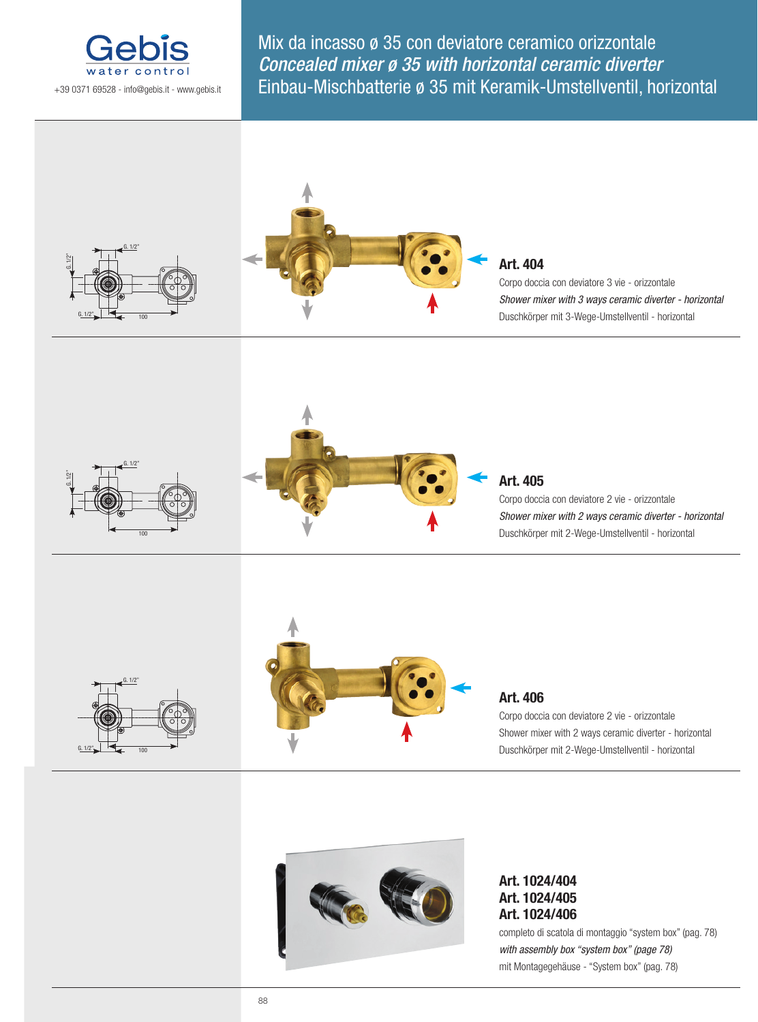

Mix da incasso ø 35 con deviatore ceramico orizzontale Concealed mixer ø 35 with horizontal ceramic diverter Einbau-Mischbatterie ø 35 mit Keramik-Umstellventil, horizontal



## **Art. 404**

Corpo doccia con deviatore 3 vie - orizzontale *Shower mixer with 3 ways ceramic diverter - horizontal* Duschkörper mit 3-Wege-Umstellventil - horizontal





## **Art. 405**

Corpo doccia con deviatore 2 vie - orizzontale *Shower mixer with 2 ways ceramic diverter - horizontal* Duschkörper mit 2-Wege-Umstellventil - horizontal





## **Art. 406**

Corpo doccia con deviatore 2 vie - orizzontale Shower mixer with 2 ways ceramic diverter - horizontal Duschkörper mit 2-Wege-Umstellventil - horizontal



**Art. 1024/404 Art. 1024/405 Art. 1024/406**

completo di scatola di montaggio "system box" (pag. 78) *with assembly box "system box" (page 78)* mit Montagegehäuse - "System box" (pag. 78)